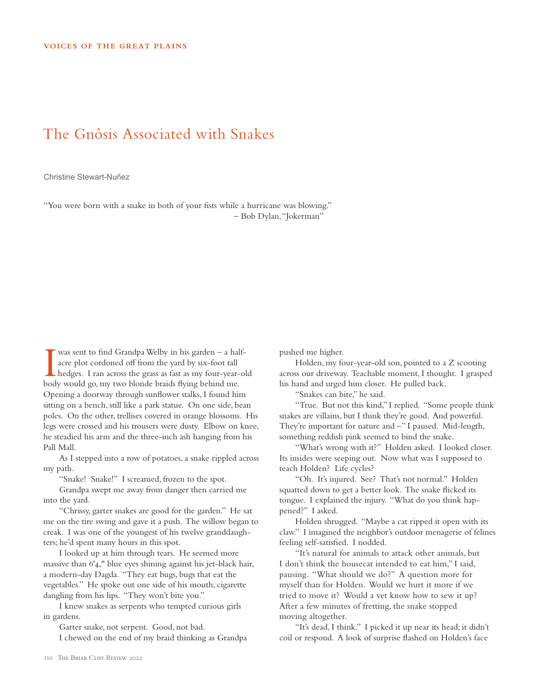## The Gnôsis Associated with Snakes

Christine Stewart-Nuñez

"You were born with a snake in both of your fists while a hurricane was blowing." – Bob Dylan, "Jokerman"

I was sent to find Grandpa Welby in his garden – a half-<br>acre plot cordoned off from the yard by six-foot tall<br>hedges. I ran across the grass as fast as my four-year-old<br>hody would go my two blonde braids flying behind me was sent to find Grandpa Welby in his garden – a halfacre plot cordoned off from the yard by six-foot tall body would go, my two blonde braids flying behind me. Opening a doorway through sunflower stalks, I found him sitting on a bench, still like a park statue. On one side, bean poles. On the other, trellises covered in orange blossoms. His legs were crossed and his trousers were dusty. Elbow on knee, he steadied his arm and the three-inch ash hanging from his Pall Mall.

As I stepped into a row of potatoes, a snake rippled across my path.

"Snake! Snake!" I screamed, frozen to the spot.

Grandpa swept me away from danger then carried me into the yard.

"Chrissy, garter snakes are good for the garden." He sat me on the tire swing and gave it a push. The willow began to creak. I was one of the youngest of his twelve granddaughters; he'd spent many hours in this spot.

I looked up at him through tears. He seemed more massive than 6'4," blue eyes shining against his jet-black hair, a modern-day Dagda. "They eat bugs, bugs that eat the vegetables." He spoke out one side of his mouth, cigarette dangling from his lips. "They won't bite you."

I knew snakes as serpents who tempted curious girls in gardens.

Garter snake, not serpent. Good, not bad.

I chewed on the end of my braid thinking as Grandpa

pushed me higher.

Holden, my four-year-old son, pointed to a Z scooting across our driveway. Teachable moment, I thought. I grasped his hand and urged him closer. He pulled back.

"Snakes can bite," he said.

"True. But not this kind," I replied. "Some people think snakes are villains, but I think they're good. And powerful. They're important for nature and –" I paused. Mid-length, something reddish pink seemed to bind the snake.

"What's wrong with it?" Holden asked. I looked closer. Its insides were seeping out. Now what was I supposed to teach Holden? Life cycles?

"Oh. It's injured. See? That's not normal." Holden squatted down to get a better look. The snake flicked its tongue. I explained the injury. "What do you think happened?" I asked.

Holden shrugged. "Maybe a cat ripped it open with its claw." I imagined the neighbor's outdoor menagerie of felines feeling self-satisfied. I nodded.

"It's natural for animals to attack other animals, but I don't think the housecat intended to eat him," I said, pausing. "What should we do?" A question more for myself than for Holden. Would we hurt it more if we tried to move it? Would a vet know how to sew it up? After a few minutes of fretting, the snake stopped moving altogether.

"It's dead, I think." I picked it up near its head; it didn't coil or respond. A look of surprise flashed on Holden's face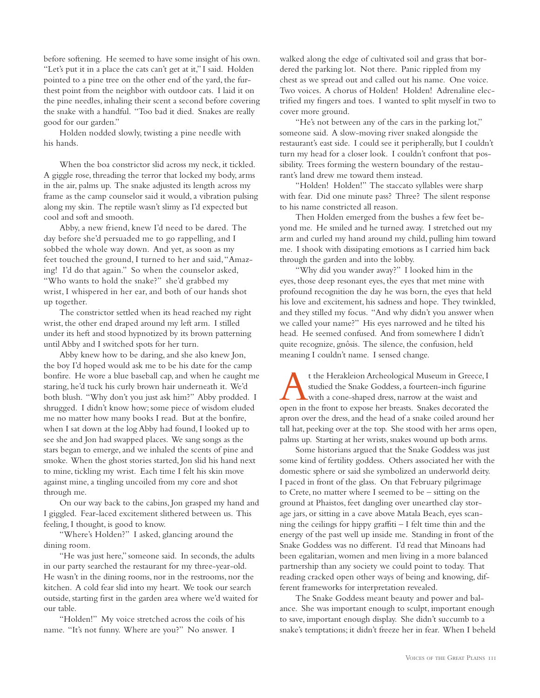before softening. He seemed to have some insight of his own. "Let's put it in a place the cats can't get at it," I said. Holden pointed to a pine tree on the other end of the yard, the furthest point from the neighbor with outdoor cats. I laid it on the pine needles, inhaling their scent a second before covering the snake with a handful. "Too bad it died. Snakes are really good for our garden."

Holden nodded slowly, twisting a pine needle with his hands.

When the boa constrictor slid across my neck, it tickled. A giggle rose, threading the terror that locked my body, arms in the air, palms up. The snake adjusted its length across my frame as the camp counselor said it would, a vibration pulsing along my skin. The reptile wasn't slimy as I'd expected but cool and soft and smooth.

Abby, a new friend, knew I'd need to be dared. The day before she'd persuaded me to go rappelling, and I sobbed the whole way down. And yet, as soon as my feet touched the ground, I turned to her and said, "Amazing! I'd do that again." So when the counselor asked, "Who wants to hold the snake?" she'd grabbed my wrist, I whispered in her ear, and both of our hands shot up together.

The constrictor settled when its head reached my right wrist, the other end draped around my left arm. I stilled under its heft and stood hypnotized by its brown patterning until Abby and I switched spots for her turn.

Abby knew how to be daring, and she also knew Jon, the boy I'd hoped would ask me to be his date for the camp bonfire. He wore a blue baseball cap, and when he caught me staring, he'd tuck his curly brown hair underneath it. We'd both blush. "Why don't you just ask him?" Abby prodded. I shrugged. I didn't know how; some piece of wisdom eluded me no matter how many books I read. But at the bonfire, when I sat down at the log Abby had found, I looked up to see she and Jon had swapped places. We sang songs as the stars began to emerge, and we inhaled the scents of pine and smoke. When the ghost stories started, Jon slid his hand next to mine, tickling my wrist. Each time I felt his skin move against mine, a tingling uncoiled from my core and shot through me.

On our way back to the cabins, Jon grasped my hand and I giggled. Fear-laced excitement slithered between us. This feeling, I thought, is good to know.

"Where's Holden?" I asked, glancing around the dining room.

"He was just here," someone said. In seconds, the adults in our party searched the restaurant for my three-year-old. He wasn't in the dining rooms, nor in the restrooms, nor the kitchen. A cold fear slid into my heart. We took our search outside, starting first in the garden area where we'd waited for our table.

"Holden!" My voice stretched across the coils of his name. "It's not funny. Where are you?" No answer. I

walked along the edge of cultivated soil and grass that bordered the parking lot. Not there. Panic rippled from my chest as we spread out and called out his name. One voice. Two voices. A chorus of Holden! Holden! Adrenaline electrified my fingers and toes. I wanted to split myself in two to cover more ground.

"He's not between any of the cars in the parking lot," someone said. A slow-moving river snaked alongside the restaurant's east side. I could see it peripherally, but I couldn't turn my head for a closer look. I couldn't confront that possibility. Trees forming the western boundary of the restaurant's land drew me toward them instead.

"Holden! Holden!" The staccato syllables were sharp with fear. Did one minute pass? Three? The silent response to his name constricted all reason.

Then Holden emerged from the bushes a few feet beyond me. He smiled and he turned away. I stretched out my arm and curled my hand around my child, pulling him toward me. I shook with dissipating emotions as I carried him back through the garden and into the lobby.

"Why did you wander away?" I looked him in the eyes, those deep resonant eyes, the eyes that met mine with profound recognition the day he was born, the eyes that held his love and excitement, his sadness and hope. They twinkled, and they stilled my focus. "And why didn't you answer when we called your name?" His eyes narrowed and he tilted his head. He seemed confused. And from somewhere I didn't quite recognize, gnôsis. The silence, the confusion, held meaning I couldn't name. I sensed change.

t the Herakleion Archeological Museum in Greece, I<br>
studied the Snake Goddess, a fourteen-inch figurine<br>
with a cone-shaped dress, narrow at the waist and<br>
onen in the front to expose her breasts. Snakes decorated the studied the Snake Goddess, a fourteen-inch figurine open in the front to expose her breasts. Snakes decorated the apron over the dress, and the head of a snake coiled around her tall hat, peeking over at the top. She stood with her arms open, palms up. Starting at her wrists, snakes wound up both arms.

Some historians argued that the Snake Goddess was just some kind of fertility goddess. Others associated her with the domestic sphere or said she symbolized an underworld deity. I paced in front of the glass. On that February pilgrimage to Crete, no matter where I seemed to be – sitting on the ground at Phaistos, feet dangling over unearthed clay storage jars, or sitting in a cave above Matala Beach, eyes scanning the ceilings for hippy graffiti – I felt time thin and the energy of the past well up inside me. Standing in front of the Snake Goddess was no different. I'd read that Minoans had been egalitarian, women and men living in a more balanced partnership than any society we could point to today. That reading cracked open other ways of being and knowing, different frameworks for interpretation revealed.

The Snake Goddess meant beauty and power and balance. She was important enough to sculpt, important enough to save, important enough display. She didn't succumb to a snake's temptations; it didn't freeze her in fear. When I beheld